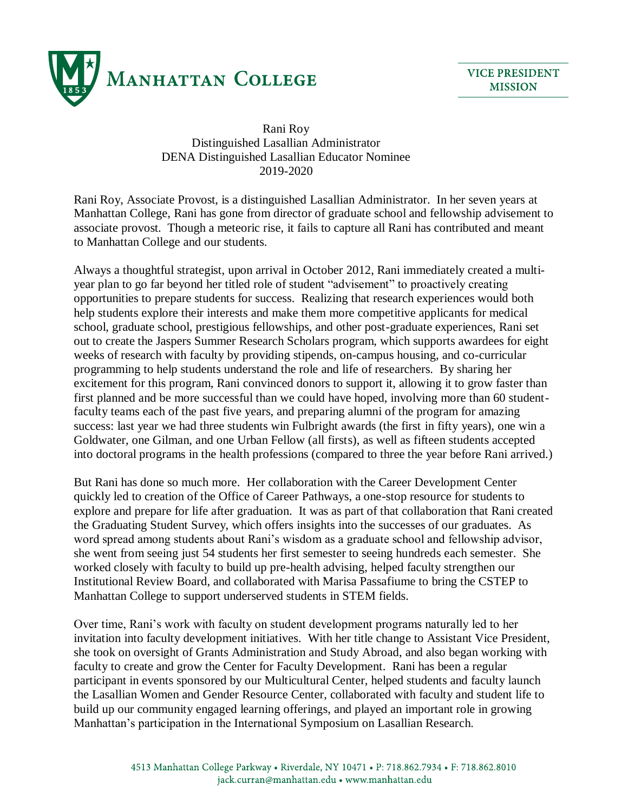



Rani Roy Distinguished Lasallian Administrator DENA Distinguished Lasallian Educator Nominee 2019-2020

Rani Roy, Associate Provost, is a distinguished Lasallian Administrator. In her seven years at Manhattan College, Rani has gone from director of graduate school and fellowship advisement to associate provost. Though a meteoric rise, it fails to capture all Rani has contributed and meant to Manhattan College and our students.

Always a thoughtful strategist, upon arrival in October 2012, Rani immediately created a multiyear plan to go far beyond her titled role of student "advisement" to proactively creating opportunities to prepare students for success. Realizing that research experiences would both help students explore their interests and make them more competitive applicants for medical school, graduate school, prestigious fellowships, and other post-graduate experiences, Rani set out to create the Jaspers Summer Research Scholars program, which supports awardees for eight weeks of research with faculty by providing stipends, on-campus housing, and co-curricular programming to help students understand the role and life of researchers. By sharing her excitement for this program, Rani convinced donors to support it, allowing it to grow faster than first planned and be more successful than we could have hoped, involving more than 60 studentfaculty teams each of the past five years, and preparing alumni of the program for amazing success: last year we had three students win Fulbright awards (the first in fifty years), one win a Goldwater, one Gilman, and one Urban Fellow (all firsts), as well as fifteen students accepted into doctoral programs in the health professions (compared to three the year before Rani arrived.)

But Rani has done so much more. Her collaboration with the Career Development Center quickly led to creation of the Office of Career Pathways, a one-stop resource for students to explore and prepare for life after graduation. It was as part of that collaboration that Rani created the Graduating Student Survey, which offers insights into the successes of our graduates. As word spread among students about Rani's wisdom as a graduate school and fellowship advisor, she went from seeing just 54 students her first semester to seeing hundreds each semester. She worked closely with faculty to build up pre-health advising, helped faculty strengthen our Institutional Review Board, and collaborated with Marisa Passafiume to bring the CSTEP to Manhattan College to support underserved students in STEM fields.

Over time, Rani's work with faculty on student development programs naturally led to her invitation into faculty development initiatives. With her title change to Assistant Vice President, she took on oversight of Grants Administration and Study Abroad, and also began working with faculty to create and grow the Center for Faculty Development. Rani has been a regular participant in events sponsored by our Multicultural Center, helped students and faculty launch the Lasallian Women and Gender Resource Center, collaborated with faculty and student life to build up our community engaged learning offerings, and played an important role in growing Manhattan's participation in the International Symposium on Lasallian Research.